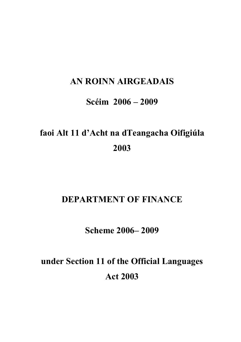## **AN ROINN AIRGEADAIS**

## **Scéim 2006 – 2009**

# **faoi Alt 11 d'Acht na dTeangacha Oifigiúla 2003**

## **DEPARTMENT OF FINANCE**

## **Scheme 2006– 2009**

# **under Section 11 of the Official Languages Act 2003**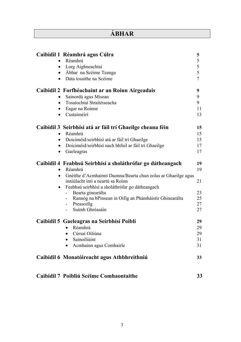### **ÁBHAR**

|           | Caibidil 1 Réamhrá agus Cúlra                                                                      | 5              |
|-----------|----------------------------------------------------------------------------------------------------|----------------|
|           | Réamhrá                                                                                            | 5              |
|           | • Lorg Aighneachtaí                                                                                | 5              |
|           | • Ábhar na Scéime Teanga                                                                           | 5              |
| $\bullet$ | Dáta tosaithe na Scéime                                                                            | $\overline{7}$ |
|           | Caibidil 2 Forfhéachaint ar an Roinn Airgeadais                                                    | 9              |
|           | Sainordú agus Misean                                                                               | 9              |
| $\bullet$ | Tosaíochtaí Straitéiseacha                                                                         | 9              |
| $\bullet$ | Eagar na Roinne                                                                                    | 11             |
|           | Custaiméirí                                                                                        | 13             |
|           | Caibidil 3 Seirbhísí atá ar fáil trí Ghaeilge cheana féin                                          | 15             |
|           | • Réamhrá                                                                                          | 15             |
|           | • Doiciméid/seirbhísí atá ar fáil trí Ghaeilge                                                     | 15             |
| $\bullet$ | Doiciméid/seirbhísí nach bhfuil ar fáil trí Ghaeilge                                               | 17             |
| $\bullet$ | Gaeleagras                                                                                         | 17             |
|           | Caibidil 4 Feabhsú Seirbhísí a sholáthrófar go dátheangach                                         | 19             |
| $\bullet$ | Réamhrá                                                                                            | 19             |
| $\bullet$ | Gnéithe d'Acmhainní Daonna/Bearta chun eolas ar Ghaeilge agus<br>inniúlacht inti a neartú sa Roinn | 21             |
| $\bullet$ | Feabhsú seirbhísí a sholáthrófar go dátheangach                                                    |                |
|           | Bearta ginearálta                                                                                  | 23             |
|           |                                                                                                    | 25             |
|           | Rannóg na bPinsean in Oifig an Phámháistir Ghinearálta                                             |                |
|           | - Preasoifig                                                                                       | 27             |
|           | Suímh Ghréasáin                                                                                    | 27             |
|           | Caibidil 5 Gaeleagras na Seirbhísí Poiblí                                                          | 29             |
|           | Réamhrá                                                                                            | 29             |
|           | Cúrsaí Oiliúna                                                                                     | 29             |
|           | Sainoiliúint                                                                                       | 31             |
|           | Acmhainn agus Comhairle                                                                            | 31             |
|           | Caibidil 6 Monatóireacht agus Athbhreithniú                                                        | 33             |

### **[Caibidil 7 Poibliú Scéime Comhaontaithe 33](#page-31-0)**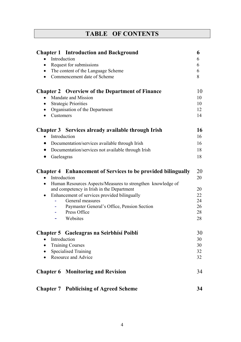|  | <b>TABLE OF CONTENTS</b> |
|--|--------------------------|
|--|--------------------------|

| <b>Chapter 1</b> Introduction and Background                                     |          |
|----------------------------------------------------------------------------------|----------|
| Introduction<br>$\bullet$                                                        | 6        |
| Request for submissions<br>$\bullet$                                             | 6        |
| The content of the Language Scheme<br>$\bullet$                                  | 6        |
| Commencement date of Scheme<br>$\bullet$                                         | 8        |
| <b>Chapter 2</b> Overview of the Department of Finance                           | 10       |
| Mandate and Mission<br>$\bullet$                                                 | 10       |
| <b>Strategic Priorities</b><br>$\bullet$                                         | 10       |
| Organisation of the Department<br>$\bullet$                                      | 12       |
| Customers<br>$\bullet$                                                           | 14       |
| Chapter 3 Services already available through Irish                               | 16       |
| Introduction<br>$\bullet$                                                        | 16       |
| Documentation/services available through Irish<br>$\bullet$                      | 16       |
| Documentation/services not available through Irish<br>$\bullet$                  | 18       |
| Gaeleagras<br>$\bullet$                                                          | 18       |
|                                                                                  |          |
| <b>Chapter 4</b> Enhancement of Services to be provided bilingually              | 20       |
| Introduction<br>$\bullet$                                                        | 20       |
| Human Resources Aspects/Measures to strengthen knowledge of<br>$\bullet$         |          |
| and competency in Irish in the Department                                        | 20       |
| Enhancement of services provided bilingually<br>$\bullet$<br>General measures    | 22<br>24 |
| Paymaster General's Office, Pension Section                                      | 26       |
| Press Office                                                                     | 28       |
| Websites                                                                         | 28       |
|                                                                                  |          |
| Chapter 5 Gaeleagras na Seirbhísí Poiblí                                         | 30       |
| Introduction                                                                     | 30       |
| <b>Training Courses</b><br>$\bullet$<br><b>Specialised Training</b><br>$\bullet$ |          |
|                                                                                  |          |
| <b>Chapter 6 Monitoring and Revision</b>                                         | 34       |
| <b>Chapter 7 Publicising of Agreed Scheme</b>                                    | 34       |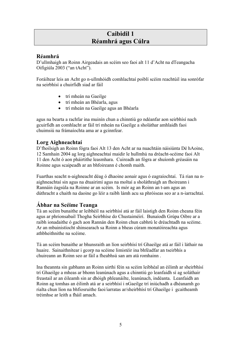### **Caibidil 1 Réamhrá agus Cúlra**

### <span id="page-3-0"></span>**Réamhrá**

D'ullmhaigh an Roinn Airgeadais an scéim seo faoi alt 11 d'Acht na dTeangacha Oifigiúla 2003 ("an tAcht").

Foráiltear leis an Acht go n-ullmhóidh comhlachtaí poiblí scéim reachtúil ina sonrófar na seirbhísí a chuirfidh siad ar fáil

- trí mheán na Gaeilge
- trí mheán an Bhéarla, agus
- trí mheán na Gaeilge agus an Bhéarla

agus na bearta a rachfar ina muinín chun a chinntiú go ndéanfar aon seirbhísí nach gcuirfidh an comhlacht ar fáil trí mheán na Gaeilge a sholáthar amhlaidh faoi chuimsiú na frámaíochta ama ar a gcinnfear.

### **Lorg Aighneachtaí**

D'fhoilsigh an Roinn fógra faoi Alt 13 den Acht ar na nuachtáin náisiúnta Dé hAoine, 12 Samhain 2004 ag lorg aighneachtaí maidir le hullmhú na dréacht-scéime faoi Alt 11 den Acht ó aon pháirtithe leasmhara. Cuireadh an fógra ar shuíomh gréasáin na Roinne agus scaipeadh ar an bhfoireann é chomh maith.

Fuarthas seacht n-aighneacht déag ó dhaoine aonair agus ó eagraíochtaí. Tá rian na naighneachtaí sin agus na dtuairimí agus na moltaí a sholáthraigh an fhoireann i Rannáin éagsúla na Roinne ar an scéim. Is mór ag an Roinn an t-am agus an dúthracht a chaith na daoine go léir a raibh lámh acu sa phróiseas seo ar a n-iarrachtaí.

### **Ábhar na Scéime Teanga**

Tá an scéim bunaithe ar leibhéil na seirbhísí atá ar fáil laistigh den Roinn cheana féin agus ar phrionsabail Thogha Seirbhíse do Chustaiméirí. Bunaíodh Grúpa Oibre ar a raibh ionadaithe ó gach aon Rannán den Roinn chun cabhrú le dréachtadh na scéime. Ar an mbainistíocht shinsearach sa Roinn a bheas cúram monatóireachta agus athbheithnithe na scéime.

Tá an scéim bunaithe ar bhunsraith an líon seirbhísí trí Ghaeilge atá ar fáil i láthair na huaire. Sainaithnítear i gcorp na scéime limistéir ina bhféadfar an tseirbhís a chuireann an Roinn seo ar fáil a fheabhsú san am atá romhainn .

Ina theannta sin gabhann an Roinn uirthi féin sa scéim leibhéal an éilimh ar sheirbhísí trí Ghaeilge a mheas ar bhonn leanúnach agus a chinntiú go leanfaidh sí ag soláthair freastail ar an éileamh sin ar dhóigh phleanáilte, leanúnach, indéanta. Leanfaidh an Roinn ag tomhas an éilimh atá ar a seirbhísí i nGaeilge trí iniúchadh a dhéanamh go rialta chun líon na bhfiosruithe faoi/iarratas ar/sheirbhísí trí Ghaeilge i gcaitheamh tréimhse ar leith a fháil amach.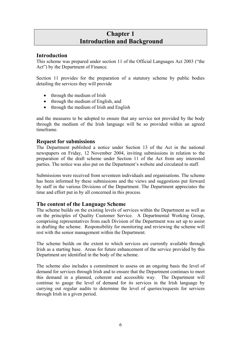### **Chapter 1 Introduction and Background**

### <span id="page-4-0"></span>**Introduction**

This scheme was prepared under section 11 of the Official Languages Act 2003 ("the Act") by the Department of Finance.

Section 11 provides for the preparation of a statutory scheme by public bodies detailing the services they will provide

- through the medium of Irish
- through the medium of English, and
- through the medium of Irish and English

and the measures to be adopted to ensure that any service not provided by the body through the medium of the Irish language will be so provided within an agreed timeframe.

#### **Request for submissions**

The Department published a notice under Section 13 of the Act in the national newspapers on Friday, 12 November 2004, inviting submissions in relation to the preparation of the draft scheme under Section 11 of the Act from any interested parties. The notice was also put on the Department's website and circulated to staff.

Submissions were received from seventeen individuals and organisations. The scheme has been informed by these submissions and the views and suggestions put forward by staff in the various Divisions of the Department. The Department appreciates the time and effort put in by all concerned in this process*.*

### **The content of the Language Scheme**

The scheme builds on the existing levels of services within the Department as well as on the principles of Quality Customer Service. A Departmental Working Group, comprising representatives from each Division of the Department was set up to assist in drafting the scheme. Responsibility for monitoring and reviewing the scheme will rest with the senior management within the Department.

The scheme builds on the extent to which services are currently available through Irish as a starting base. Areas for future enhancement of the service provided by this Department are identified in the body of the scheme.

The scheme also includes a commitment to assess on an ongoing basis the level of demand for services through Irish and to ensure that the Department continues to meet this demand in a planned, coherent and accessible way. The Department will continue to gauge the level of demand for its services in the Irish language by carrying out regular audits to determine the level of queries/requests for services through Irish in a given period.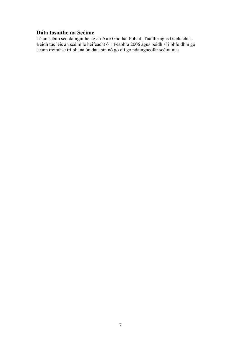### <span id="page-5-0"></span>**Dáta tosaithe na Scéime**

Tá an scéim seo daingnithe ag an Aire Gnóthaí Pobail, Tuaithe agus Gaeltachta. Beidh tús leis an scéim le héifeacht ó 1 Feabhra 2006 agus beidh sí i bhfeidhm go ceann tréimhse trí bliana ón dáta sin nó go dtí go ndaingneofar scéim nua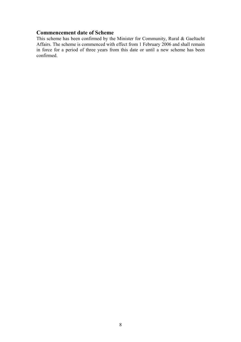#### <span id="page-6-0"></span>**Commencement date of Scheme**

This scheme has been confirmed by the Minister for Community, Rural & Gaeltacht Affairs. The scheme is commenced with effect from 1 February 2006 and shall remain in force for a period of three years from this date or until a new scheme has been confirmed.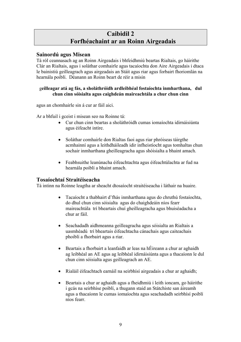### **Caibidil 2 Forfhéachaint ar an Roinn Airgeadais**

### <span id="page-7-0"></span>**Sainordú agus Misean**

Tá ról ceannasach ag an Roinn Airgeadais i bhfeidhmiú beartas Rialtais, go háirithe Clár an Rialtais, agus i soláthar comhairle agus tacaíochta don Aire Airgeadais i dtaca le bainistiú geilleagrach agus airgeadais an Stáit agus riar agus forbairt fhoriomlán na hearnála poiblí. Déanann an Roinn beart de réir a misin

#### g**eilleagar atá ag fás, a sholáthróidh ardleibhéal fostaíochta inmharthana, dul chun cinn sóisialta agus caighdeán maireachtála a chur chun cinn**

agus an chomhairle sin á cur ar fáil aici.

Ar a bhfuil i gceist i misean seo na Roinne tá:

- Cur chun cinn beartas a sholáthróidh cumas iomaíochta idirnáisiúnta agus éifeacht intíre.
- Soláthar comhairle don Rialtas faoi agus riar phróiseas táirgthe acmhainní agus a leithdháileadh idir infheistíocht agus tomhaltas chun sochair inmharthana gheilleagracha agus shóisialta a bhaint amach.
- Feabhsuithe leanúnacha éifeachtachta agus éifeachtúlachta ar fud na hearnála poiblí a bhaint amach.

### **Tosaíochtaí Straitéiseacha**

Tá intinn na Roinne leagtha ar sheacht dtosaíocht straitéiseacha i láthair na huaire.

- Tacaíocht a thabhairt d'fhás inmharthana agus do chruthú fostaíochta, do dhul chun cinn sóisialta agus do chaighdeáin níos fearr maireachtála trí bheartais chuí gheilleagracha agus bhuiséadacha a chur ar fáil.
- Seachadadh aidhmeanna geilleagracha agus sóisialta an Rialtais a uasmhéadú trí bheartais éifeachtacha cánachais agus caiteachais phoiblí a fhorbairt agus a riar.
- Beartais a fhorbairt a leanfaidh ar leas na hÉireann a chur ar aghaidh ag leibhéal an AE agus ag leibhéal idirnáisiúnta agus a thacaíonn le dul chun cinn sóisialta agus geilleagrach an AE.
- Rialáil éifeachtach earnáil na seirbhísí airgeadais a chur ar aghaidh;
- Beartais a chur ar aghaidh agus a fheidhmiú i leith ioncam, go háirithe i gcás na seirbhíse poiblí, a thugann staid an Státchiste san áireamh agus a thacaíonn le cumas iomaíochta agus seachadadh seirbhísí poiblí níos fearr.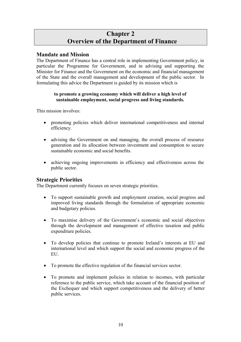### **Chapter 2 Overview of the Department of Finance**

### <span id="page-8-0"></span>**Mandate and Mission**

The Department of Finance has a central role in implementing Government policy, in particular the Programme for Government, and in advising and supporting the Minister for Finance and the Government on the economic and financial management of the State and the overall management and development of the public sector. In formulating this advice the Department is guided by its mission which is

#### **to promote a growing economy which will deliver a high level of sustainable employment, social progress and living standards.**

This mission involves:

- promoting policies which deliver international competitiveness and internal efficiency.
- advising the Government on and managing, the overall process of resource generation and its allocation between investment and consumption to secure sustainable economic and social benefits.
- achieving ongoing improvements in efficiency and effectiveness across the public sector.

#### **Strategic Priorities**

The Department currently focuses on seven strategic priorities.

- To support sustainable growth and employment creation, social progress and improved living standards through the formulation of appropriate economic and budgetary policies.
- To maximise delivery of the Government's economic and social objectives through the development and management of effective taxation and public expenditure policies.
- To develop policies that continue to promote Ireland's interests at EU and international level and which support the social and economic progress of the **EU**
- To promote the effective regulation of the financial services sector.
- To promote and implement policies in relation to incomes, with particular reference to the public service, which take account of the financial position of the Exchequer and which support competitiveness and the delivery of better public services.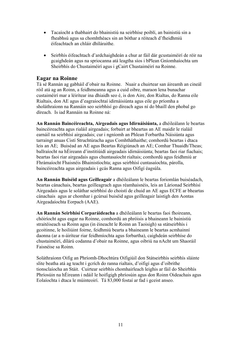- <span id="page-9-0"></span>• Tacaíocht a thabhairt do bhainistiú na seirbhíse poiblí, an bainistiú sin a fheabhsú agus sa chomhthéacs sin an bóthar a réiteach d'fheidhmiú éifeachtach an chláir dhíláraithe.
- Seirbhís éifeachtach d'ardchaighdeán a chur ar fáil dár gcustaiméirí de réir na gcaighdeán agus na spriocanna atá leagtha síos i bPlean Gníomhaíochta um Sheirbhís do Chustaiméirí agus i gCairt Chustaiméirí na Roinne.

#### **Eagar na Roinne**

Tá sé Rannán ag gabháil d'obair na Roinne. Nuair a chuirtear san áireamh an cineál róil atá ag an Roinn, a feidhmeanna agus a cuid oibre, maraon lena bunachar custaiméirí mar a léirítear ina dhiaidh seo é, is don Aire, don Rialtas, do Ranna eile Rialtais, don AE agus d'eagraíochtaí idirnáisiúnta agus eile go príomha a sholáthraíonn na Rannáin seo seirbhísí go díreach agus ní do bhaill den phobal go díreach. Is iad Rannáin na Roinne ná:

**An Rannán Baincéireachta, Airgeadais agus Idirnáisiúnta,** a dhéileálann le beartas baincéireachta agus rialáil airgeadais; forbairt ar bheartas an AE maidir le rialáil earnáil na seirbhísí airgeadais; cur i ngníomh an Phlean Forbartha Náisiúnta agus tarraingt anuas Cistí Struchtúracha agus Comhtháthaithe; comhordú beartas i dtaca leis an AE; Buiséad an AE agus Beartas Réigiúnach an AE; Comhar Thuaidh/Theas; ballraíocht na hÉireann d'institiúidí airgeadais idirnáisiúnta; beartas faoi riar fiachais; beartas faoi riar airgeadais agus chuntasaíocht rialtais; comhordú agus feidhmiú ar Fhrámaíocht Fhaisnéis Bhainistíochta; agus seirbhísí cuntasaíochta, párolla, baincéireachta agus airgeadais i gcás Ranna agus Oifigí éagsúla.

**An Rannán Buiséid agus Geilleagair** a dhéileálann le beartas foriomlán buiséadach, beartas cánachais, beartas geilleagrach agus réamhaisnéis, leis an Lárionad Seirbhísí Airgeadais agus le soláthar seirbhísí do choistí de chuid an AE agus ECFE ar bheartas cánachais agus ar chomhar i gcúrsaí buiséid agus geilleagair laistigh den Aontas Airgeadaíochta Eorpach (AAE).

**An Rannán Seirbhísí Corparáideacha** a dhéileálann le beartas faoi fhoireann, chóiríocht agus eagar na Roinne, comhordú an phróisis a bhaineann le bainistiú straitéiseach sa Roinn agus (in éineacht le Roinn an Taoisigh) sa státseirbhís i gcoitinne, le hoiliúint foirne, feidhmiú bearta a bhaineann le beartas acmhainní daonna (ar a n-áirítear riar feidhmíochta agus forbartha), caighdeán seirbhíse do chustaiméirí, dílárú codanna d'obair na Roinne, agus oibriú na nAcht um Shaoráil Faisnéise sa Roinn.

Soláthraíonn Oifig an Phríomh-Dhochtúra Oifigiúil don Státseirbhís seirbhís sláinte slite beatha atá ag teacht i gcrích do ranna rialtais, d'oifigí agus d'oibrithe tionsclaíocha an Stáit. Cuirtear seirbhís chomhairleach leighis ar fáil do Sheirbhís Phríosúin na hÉireann i ndáil le hoifigigh phríosúin agus don Roinn Oideachais agus Eolaíochta i dtaca le múinteoirí. Tá 83,000 fostaí ar fad i gceist anseo.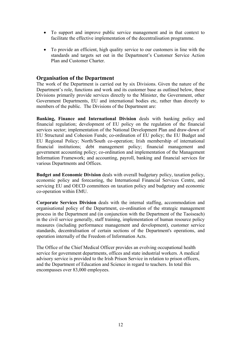- <span id="page-10-0"></span>• To support and improve public service management and in that context to facilitate the effective implementation of the decentralisation programme.
- To provide an efficient, high quality service to our customers in line with the standards and targets set out in the Department's Customer Service Action Plan and Customer Charter.

#### **Organisation of the Department**

The work of the Department is carried out by six Divisions. Given the nature of the Department's role, functions and work and its customer base as outlined below, these Divisions primarily provide services directly to the Minister, the Government, other Government Departments, EU and international bodies etc, rather than directly to members of the public. The Divisions of the Department are:

**Banking, Finance and International Division** deals with banking policy and financial regulation; development of EU policy on the regulation of the financial services sector; implementation of the National Development Plan and draw-down of EU Structural and Cohesion Funds; co-ordination of EU policy; the EU Budget and EU Regional Policy; North/South co-operation; Irish membership of international financial institutions; debt management policy; financial management and government accounting policy; co-ordination and implementation of the Management Information Framework; and accounting, payroll, banking and financial services for various Departments and Offices.

**Budget and Economic Division** deals with overall budgetary policy, taxation policy, economic policy and forecasting, the International Financial Services Centre, and servicing EU and OECD committees on taxation policy and budgetary and economic co-operation within EMU.

**Corporate Services Division** deals with the internal staffing, accommodation and organisational policy of the Department, co-ordination of the strategic management process in the Department and (in conjunction with the Department of the Taoiseach) in the civil service generally, staff training, implementation of human resource policy measures (including performance management and development), customer service standards, decentralisation of certain sections of the Department's operations, and operation internally of the Freedom of Information Acts.

The Office of the Chief Medical Officer provides an evolving occupational health service for government departments, offices and state industrial workers. A medical advisory service is provided to the Irish Prison Service in relation to prison officers, and the Department of Education and Science in regard to teachers. In total this encompasses over 83,000 employees.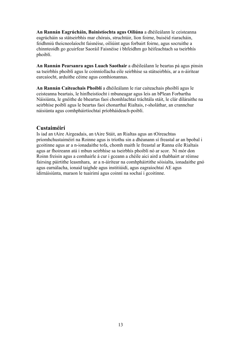<span id="page-11-0"></span>**An Rannán Eagrúcháin, Bainistíochta agus Oiliúna** a dhéileálann le ceisteanna eagrúcháin sa státseirbhís mar chórais, struchtúir, líon foirne, buiséid riaracháin, feidhmiú theicneolaíocht faisnéise, oiliúint agus forbairt foirne, agus socruithe a chinnteoidh go gcuirfear Saoráil Faisnéise i bhfeidhm go héifeachtach sa tseirbhís phoiblí.

**An Rannán Pearsanra agus Luach Saothair** a dhéileálann le beartas pá agus pinsin sa tseirbhís phoiblí agus le coinníollacha eile seirbhíse sa státseirbhís, ar a n-áirítear earcaíocht, arduithe céime agus comhionannas.

**An Rannán Caiteachais Phoiblí** a dhéileálann le riar caiteachais phoiblí agus le ceisteanna beartais, le hinfheistíocht i mbuneagar agus leis an bPlean Forbartha Náisiúnta, le gnéithe de bheartas faoi chomhlachtaí tráchtála stáit, le clár díláraithe na seirbhíse poiblí agus le beartas faoi chonarthaí Rialtais, r-sholáthar, an crannchur náisiúnta agus comhpháirtíochtaí príobháideach-poiblí.

#### **Custaiméirí**

Is iad an tAire Airgeadais, an tAire Stáit, an Rialtas agus an tOireachtas príomhchustaiméirí na Roinne agus is tríothu sin a dhéanann sí freastal ar an bpobal i gcoitinne agus ar a n-ionadaithe tofa, chomh maith le freastal ar Ranna eile Rialtais agus ar fhoireann atá i mbun seirbhíse sa tseirbhís phoiblí nó ar scor. Ní mór don Roinn freisin agus a comhairle á cur i gceann a chéile aici aird a thabhairt ar réimse fairsing páirtithe leasmhara, ar a n-áirítear na comhpháirtithe sóisialta, ionadaithe gnó agus earnálacha, ionaid taighde agus institiúidí, agus eagraíochtaí AE agus idirnáisiúnta, maraon le tuairimí agus coinní na sochaí i gcoitinne.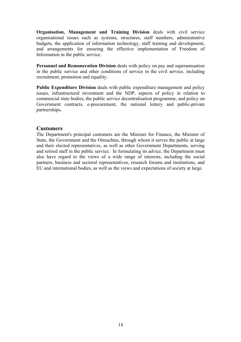<span id="page-12-0"></span>**Organisation, Management and Training Division** deals with civil service organisational issues such as systems, structures, staff numbers, administrative budgets, the application of information technology, staff training and development, and arrangements for ensuring the effective implementation of Freedom of Information in the public service.

**Personnel and Remuneration Division** deals with policy on pay and superannuation in the public service and other conditions of service in the civil service, including recruitment, promotion and equality.

**Public Expenditure Division** deals with public expenditure management and policy issues, infrastructural investment and the NDP, aspects of policy in relation to commercial state bodies, the public service decentralisation programme, and policy on Government contracts, e-procurement, the national lottery and public-private partnerships**.** 

#### **Customers**

The Department's principal customers are the Minister for Finance, the Minister of State, the Government and the Oireachtas, through whom it serves the public at large and their elected representatives, as well as other Government Departments, serving and retired staff in the public service. In formulating its advice, the Department must also have regard to the views of a wide range of interests, including the social partners, business and sectoral representatives, research forums and institutions, and EU and international bodies, as well as the views and expectations of society at large.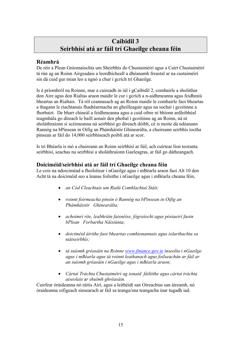### **Caibidil 3 Seirbhísí atá ar fáil trí Ghaeilge cheana féin**

### <span id="page-13-0"></span>**Réamhrá**

De réir a Plean Gníomaíochta um Sheirbhís do Chustaiméirí agus a Cairt Chustaiméirí tá rún ag an Roinn Airgeadais a leordhícheall a dhéanamh freastal ar na custaiméirí sin dá cuid gur mian leo a ngnó a chur i gcrích trí Ghaeilge.

Is é príomhról na Roinne, mar a cuireadh in iúl i gCaibidil 2, comhairle a sholáthar don Aire agus don Rialtas araon maidir le cur i gcrích a n-aidhmeanna agus feidhmiú bheartas an Rialtais. Tá ról ceannasach ag an Roinn maidir le comhairle faoi bheartas a thagann le riachtanais fhadtéarmacha an gheilleagair agus na sochaí i gcoitinne a fhorbairt. De bharr chineál a feidhmeanna agus a cuid oibre ní bhíonn ardleibhéal teagmhála go díreach le baill aonair den phobal i gcoitinne ag an Roinn, ná ní sholáthraíonn sí scéimeanna ná seirbhísí go díreach dóibh, cé is moite dá ndéanann Rannóg na bPinsean in Oifig an Phámháistir Ghinearálta, a chuireann seirbhís íoctha pinsean ar fáil do 14,000 seirbhíseach poiblí atá ar scor.

Is trí Bhéarla is mó a chuireann an Roinn seirbhísí ar fáil, ach cuirtear líon teoranta seirbhísí, seachas na seirbhísí a sholáthraíonn Gaeleagras, ar fáil go dátheangach.

### **Doiciméid/seirbhísí atá ar fáil trí Ghaeilge cheana féin**

Le cois na ndoiciméad a fhoilsítear i nGaeilge agus i mBéarla araon faoi Alt 10 den Acht tá na doiciméid seo a leanas foilsithe i nGaeilge agus i mBéarla cheana féin,

- *an Cód Cleachtais um Rialú Comhlachtaí Stáit;*
- *roinnt foirmeacha pinsin ó Rannóg na bPinsean in Oifig an Phámháistir Ghinearálta;*
- *achoimrí rite, leabhráin faisnéise, fógraíocht agus póstaeirí faoin bPlean Forbartha Náisiúnta;*
- *doiciméid áirithe faoi bheartas comhionannais agus iolarthachta sa* s*tátseirbhís;*
- *tá suíomh gréasáin na Roinne www.finance.gov.ie inseolta i nGaeilge agus i mBéarla agus tá roinnt leathanach agus foilseachán ar fáil ar an suíomh gréasáin i nGaeilge agus i mBéarla araon;*
- *Cártaí Tráchta Chustaiméirí ag ionaid fáiltithe agus cártaí tráchta aiseolais* a*r shuímh ghréasáin.*

Cuirfear óráideanna nó ráitis Airí, agus a leithéidí san Oireachtas san áireamh, nó óraideanna oifigeach sinsearach ar fáil sa teanga/sna teangacha inar tugadh iad.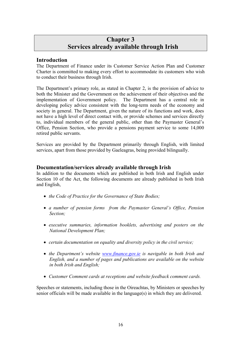### **Chapter 3 Services already available through Irish**

### <span id="page-14-0"></span>**Introduction**

The Department of Finance under its Customer Service Action Plan and Customer Charter is committed to making every effort to accommodate its customers who wish to conduct their business through Irish.

The Department's primary role, as stated in Chapter 2, is the provision of advice to both the Minister and the Government on the achievement of their objectives and the implementation of Government policy. The Department has a central role in developing policy advice consistent with the long-term needs of the economy and society in general. The Department, given the nature of its functions and work, does not have a high level of direct contact with, or provide schemes and services directly to, individual members of the general public, other than the Paymaster General's Office, Pension Section, who provide a pensions payment service to some 14,000 retired public servants.

Services are provided by the Department primarily through English, with limited services, apart from those provided by Gaeleagras, being provided bilingually.

### **Documentation/services already available through Irish**

In addition to the documents which are published in both Irish and English under Section 10 of the Act, the following documents are already published in both Irish and English,

- *the Code of Practice for the Governance of State Bodies;*
- *a number of pension forms from the Paymaster General's Office, Pension Section;*
- *executive summaries, information booklets, advertising and posters on the National Development Plan;*
- *certain documentation on equality and diversity policy in the civil service;*
- *the Department's website www.finance.gov.ie is navigable in both Irish and English, and a number of pages and publications are available on the website in both Irish and English;*
- *Customer Comment cards at receptions and website feedback comment cards.*

Speeches or statements, including those in the Oireachtas, by Ministers or speeches by senior officials will be made available in the language(s) in which they are delivered.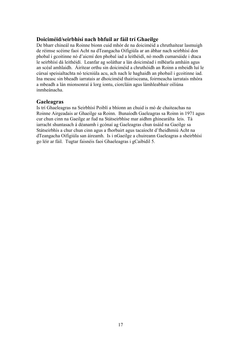### <span id="page-15-0"></span>**Doiciméid/seirbhísí nach bhfuil ar fáil trí Ghaeilge**

De bharr chineál na Roinne bíonn cuid mhór de na doiciméid a chruthaítear lasmuigh de réimse scéime faoi Acht na dTeangacha Oifigiúla ar an ábhar nach seirbhísí don phobal i gcoitinne nó d'aicmí den phobal iad a leithéidí, nó modh cumarsáide i dtaca le seirbhísí dá leithéidí. Leanfar ag soláthar a lán doiciméad i mBéarla amháin agus an scéal amhlaidh. Áirítear orthu sin doiciméid a chruthóidh an Roinn a mbeidh luí le cúrsaí speisialtachta nó teicniúla acu, ach nach le haghaidh an phobail i gcoitinne iad. Ina measc sin bheadh iarratais ar dhoiciméid thairisceana, foirmeacha iarratais mhóra a mbeadh a lán mionsonraí á lorg iontu, ciorcláin agus lámhleabhair oiliúna inmheánacha.

#### **Gaeleagras**

Is trí Ghaeleagras na Seirbhísí Poiblí a bhíonn an chuid is mó de chaiteachas na Roinne Airgeadais ar Ghaeilge sa Roinn. Bunaíodh Gaeleagras sa Roinn in 1971 agus cur chun cinn na Gaeilge ar fud na Státseirbhíse mar aidhm ghinearálta leis. Tá iarracht shuntasach á déanamh i gcónaí ag Gaeleagras chun úsáid na Gaeilge sa Státseirbhís a chur chun cinn agus a fhorbairt agus tacaíocht d'fheidhmiú Acht na dTeangacha Oifigiúla san áireamh. Is i nGaeilge a chuireann Gaeleagras a sheirbhísí go léir ar fáil. Tugtar faisnéis faoi Ghaeleagras i gCaibidil 5.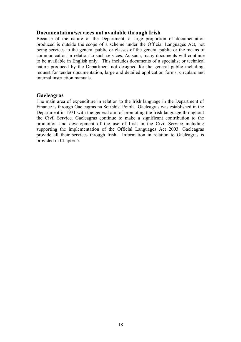#### <span id="page-16-0"></span>**Documentation/services not available through Irish**

Because of the nature of the Department, a large proportion of documentation produced is outside the scope of a scheme under the Official Languages Act, not being services to the general public or classes of the general public or the means of communication in relation to such services. As such, many documents will continue to be available in English only. This includes documents of a specialist or technical nature produced by the Department not designed for the general public including, request for tender documentation, large and detailed application forms, circulars and internal instruction manuals.

#### **Gaeleagras**

The main area of expenditure in relation to the Irish language in the Department of Finance is through Gaeleagras na Seirbhísí Poiblí. Gaeleagras was established in the Department in 1971 with the general aim of promoting the Irish language throughout the Civil Service. Gaeleagras continue to make a significant contribution to the promotion and development of the use of Irish in the Civil Service including supporting the implementation of the Official Languages Act 2003. Gaeleagras provide all their services through Irish. Information in relation to Gaeleagras is provided in Chapter 5.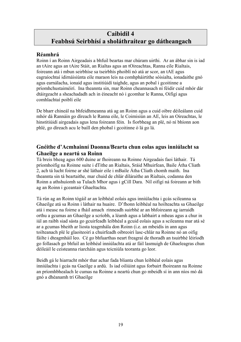### <span id="page-17-0"></span>**Caibidil 4 Feabhsú Seirbhísí a sholáthraítear go dátheangach**

### **Réamhrá**

Roinn í an Roinn Airgeadais a bhfuil beartas mar chúram uirthi. Ar an ábhar sin is iad an tAire agus an tAire Stáit, an Rialtas agus an tOireachtas, Ranna eile Rialtais, foireann atá i mbun seirbhíse sa tseirbhís phoiblí nó atá ar scor, an tAE agus eagraíochtaí idirnáisiúnta eile maraon leis na comhpháirtithe sóisialta, ionadaithe gnó agus earnálacha, ionaid agus institiúidí taighde, agus an pobal i gcoitinne a príomhchustaiméirí. Ina theannta sin, mar Roinn cheannasach ní féidir cuid mhór dár dtáirgeacht a sheachadadh ach in éineacht nó i gcomhar le Ranna, Oifigí agus comhlachtaí poiblí eile

De bharr chineál na bhfeidhmeanna atá ag an Roinn agus a cuid oibre déileálann cuid mhór dá Rannáin go díreach le Ranna eile, le Coimisiún an AE, leis an Oireachtas, le hinstitiúidí airgeadais agus lena foireann féin. Is fiorbheag an plé, nó ní bhíonn aon phlé, go díreach acu le baill den phobal i gcoitinne ó lá go lá.

### **Gnéithe d'Acmhainní Daonna/Bearta chun eolas agus inniúlacht sa Ghaeilge a neartú sa Roinn**

Tá breis bheag agus 600 duine ar fhoireann na Roinne Airgeadais faoi láthair. Tá príomhoifig na Roinne suite i dTithe an Rialtais, Sráid Mhuirfean, Baile Átha Cliath 2, ach tá lucht foirne ar shé láthair eile i mBaile Átha Cliath chomh maith. Ina theannta sin tá beartaithe, mar chuid de chlár díláraithe an Rialtais, codanna den Roinn a athshuíomh sa Tulach Mhor agus i gCill Dara. Níl oifigí ná foireann ar bith ag an Roinn i gceantair Ghaeltachta.

Tá rún ag an Roinn tógáil ar an leibhéal eolais agus inniúlachta i gcás scileanna sa Ghaeilge atá sa Roinn i láthair na huaire. D'fhonn leibhéal na hoilteachta sa Ghaeilge atá i measc na foirne a fháil amach rinneadh suirbhé ar an bhfoireann ag iarraidh orthu a gcumas an Ghaeilge a scríobh, a léamh agus a labhairt a mheas agus a chur in iúl an raibh siad sásta go gcuirfeadh leibhéal a gcuid eolais agus a scileanna mar atá sé ar a gcumas bheith ar liosta teagmhála don Roinn (i.e. an mbeidís in ann agus toilteanach plé le glaoiteoirí a chuirfeadh oibreoirí lasc-chlár na Roinne nó an oifig fáilte i dteagmháil leo. Cé go bhfuarthas neart freagraí de thoradh an tsuirbhé léiríodh go follasach go bhfuil an leibhéal inniúlachta atá ar fáil lasmuigh de Ghaeleagras chun déileáil le ceisteanna riarcháin agus teicniúla teoranta go leor.

Beidh gá le hiarracht mhór thar achar fada blianta chun leibhéal eolais agus inniúlachta i gcás na Gaeilge a ardú. Is iad oiliúint agus forbairt fhoireann na Roinne an príomhbhealach le cumas na Roinne a neartú chun go mbeidh sí in ann níos mó dá gnó a dhéanamh trí Ghaeilge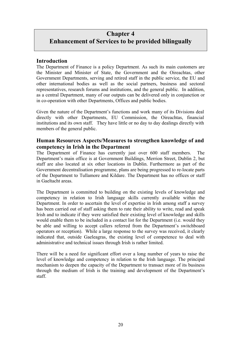### <span id="page-18-0"></span>**Chapter 4 Enhancement of Services to be provided bilingually**

### **Introduction**

The Department of Finance is a policy Department. As such its main customers are the Minister and Minister of State, the Government and the Oireachtas, other Government Departments, serving and retired staff in the public service, the EU and other international bodies as well as the social partners, business and sectoral representatives, research forums and institutions, and the general public. In addition, as a central Department, many of our outputs can be delivered only in conjunction or in co-operation with other Departments, Offices and public bodies.

Given the nature of the Department's functions and work many of its Divisions deal directly with other Departments, EU Commission, the Oireachtas, financial institutions and its own staff. They have little or no day to day dealings directly with members of the general public.

### **Human Resources Aspects/Measures to strengthen knowledge of and competency in Irish in the Department**

The Department of Finance has currently just over 600 staff members. The Department's main office is at Government Buildings, Merrion Street, Dublin 2, but staff are also located at six other locations in Dublin. Furthermore as part of the Government decentralisation programme, plans are being progressed to re-locate parts of the Department to Tullamore and Kildare. The Department has no offices or staff in Gaeltacht areas.

The Department is committed to building on the existing levels of knowledge and competency in relation to Irish language skills currently available within the Department. In order to ascertain the level of expertise in Irish among staff a survey has been carried out of staff asking them to rate their ability to write, read and speak Irish and to indicate if they were satisfied their existing level of knowledge and skills would enable them to be included in a contact list for the Department (i.e. would they be able and willing to accept callers referred from the Department's switchboard operators or reception). While a large response to the survey was received, it clearly indicated that, outside Gaeleagras, the existing level of competence to deal with administrative and technical issues through Irish is rather limited.

There will be a need for significant effort over a long number of years to raise the level of knowledge and competency in relation to the Irish language. The principal mechanism to deepen the capacity of the Department to transact more of its business through the medium of Irish is the training and development of the Department's staff.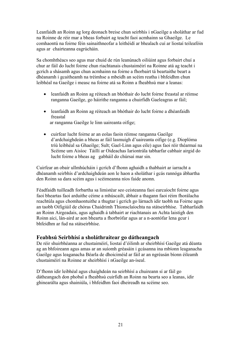<span id="page-19-0"></span>Leanfaidh an Roinn ag lorg deonach breise chun seirbhís i nGaeilge a sholáthar ar fud na Roinne de réir mar a bheas forbairt ag teacht faoi acmhainn sa Ghaeilge. Le comhaontú na foirne féin sainaithneofar a leithéidí ar bhealach cuí ar liostaí teileafóin agus ar chairteanna eagrúcháin.

Sa chomhthéacs seo agus mar chuid de rún leanúnach oiliúint agus forbairt chuí a chur ar fáil do lucht foirne chun riachtanais chustaiméirí na Roinne atá ag teacht i gcrích a shásamh agus chun acmhainn na foirne a fhorbairt tá beartaithe beart a dhéanamh i gcaitheamh na tréimhse a mbeidh an scéim reatha i bhfeidhm chun leibhéal na Gaeilge i measc na foirne atá sa Roinn a fheabhsú mar a leanas:

- leanfaidh an Roinn ag réiteach an bhóthair do lucht foirne freastal ar réimse ranganna Gaeilge, go háirithe ranganna a chuirfidh Gaeleagras ar fáil;
- leanfaidh an Roinn ag réiteach an bhóthair do lucht foirne a dhéanfaidh freastal ar ranganna Gaeilge le linn uaireanta oifige;
- cuirfear lucht foirne ar an eolas faoin réimse ranganna Gaeilge d'ardchaighdeán a bheas ar fáil lasmuigh d'uaireanta oifige (e.g. Dioplóma tríú leibhéal sa Ghaeilge; Sult; Gael-Linn agus eile) agus faoi réir théarmaí na Scéime um Aisíoc Táillí ar Oideachas Iariontrála tabharfar cabhair airgid do lucht foirne a bheas ag gabháil do chúrsaí mar sin.

Cuirfear an obair ullmhúcháin i gcrích d'fhonn aghaidh a thabhairt ar iarracht a dhéanamh seirbhís d'ardchaighdeán aon le haon a sholáthar i gcás rannóga ábhartha den Roinn sa dara scéim agus i scéimeanna níos faide anonn.

Féadfaidh tuilleadh forbartha sa limistéar seo ceisteanna faoi earcaíocht foirne agus faoi bheartas faoi arduithe céime a mhúscailt, ábhair a thagann faoi réim fhorálacha reachtúla agus chomhaontuithe a thugtar i gcrích go lárnach idir taobh na Foirne agus an taobh Oifigiúil de chóras Chaidrimh Thionsclaíochta na státseirbhíse. Tabharfaidh an Roinn Airgeadais, agus aghaidh á tabhairt ar riachtanais an Achta laistigh den Roinn aici, lán-aird ar aon bhearta a fhorbrófar agus ar a n-aontófar lena gcur i bhfeidhm ar fud na státseirbhíse.

### **Feabhsú Seirbhísí a sholáthraítear go dátheangach**

De réir shuirbhéanna ar chustaiméirí, liostaí d'éilimh ar sheirbhísí Gaeilge atá déanta ag an bhfoireann agus amas ar an suíomh gréasáin i gcásanna ina mbíonn leaganacha Gaeilge agus leaganacha Béarla de dhoiciméid ar fáil ar an ngréasán bíonn éileamh chustaiméirí na Roinne ar sheirbhísí i nGaeilge an-íseal.

D'fhonn idir leibhéal agus chaighdeán na seirbhísí a chuireann sí ar fáil go dátheangach don phobal a fheabhsú cuirfidh an Roinn na bearta seo a leanas, idir ghinearálta agus shainiúla, i bhfeidhm faoi dheireadh na scéime seo.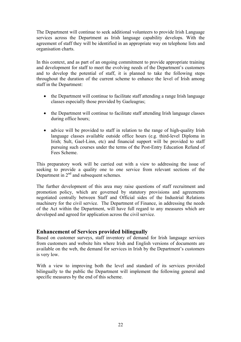<span id="page-20-0"></span>The Department will continue to seek additional volunteers to provide Irish Language services across the Department as Irish language capability develops. With the agreement of staff they will be identified in an appropriate way on telephone lists and organisation charts.

In this context, and as part of an ongoing commitment to provide appropriate training and development for staff to meet the evolving needs of the Department's customers and to develop the potential of staff, it is planned to take the following steps throughout the duration of the current scheme to enhance the level of Irish among staff in the Department:

- the Department will continue to facilitate staff attending a range Irish language classes especially those provided by Gaeleagras;
- the Department will continue to facilitate staff attending Irish language classes during office hours;
- advice will be provided to staff in relation to the range of high-quality Irish language classes available outside office hours (e.g. third-level Diploma in Irish; Sult, Gael-Linn, etc) and financial support will be provided to staff pursuing such courses under the terms of the Post-Entry Education Refund of Fees Scheme.

This preparatory work will be carried out with a view to addressing the issue of seeking to provide a quality one to one service from relevant sections of the Department in  $2<sup>nd</sup>$  and subsequent schemes.

The further development of this area may raise questions of staff recruitment and promotion policy, which are governed by statutory provisions and agreements negotiated centrally between Staff and Official sides of the Industrial Relations machinery for the civil service. The Department of Finance, in addressing the needs of the Act within the Department, will have full regard to any measures which are developed and agreed for application across the civil service.

### **Enhancement of Services provided bilingually**

Based on customer surveys, staff inventory of demand for Irish language services from customers and website hits where Irish and English versions of documents are available on the web, the demand for services in Irish by the Department's customers is very low.

With a view to improving both the level and standard of its services provided bilingually to the public the Department will implement the following general and specific measures by the end of this scheme.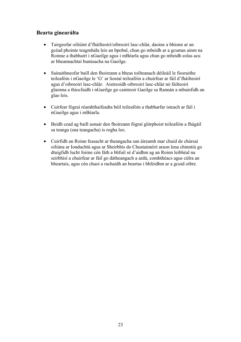### <span id="page-21-0"></span>**Bearta ginearálta**

- Tairgeofar oiliúint d'fháilteoirí/oibreoirí lasc-chlár, daoine a bhíonn ar an gcéad phointe teagmhála leis an bpobal, chun go mbeidh ar a gcumas ainm na Roinne a thabhairt i nGaeilge agus i mBéarla agus chun go mbeidh eolas acu ar bheannachtaí bunúsacha na Gaeilge.
- Sainaithneofar baill den fhoireann a bheas toilteanach déileáil le fiosruithe teileafóin i nGaeilge le 'G' ar liostaí teileafóin a chuirfear ar fáil d'fháilteoirí agus d'oibreoirí lasc-chlár. Aistreoidh oibreoirí lasc-chlár nó fáilteoirí glaonna a thiocfaidh i nGaeilge go cainteoir Gaeilge sa Rannán a mbainfidh an glao leis.
- Cuirfear fógraí réamhthaifeadta béil teileafóin a thabharfar isteach ar fáil i nGaeilge agus i mBéarla.
- Beidh cead ag baill aonair den fhoireann fógraí glórphoist teileafóin a fhágáil sa teanga (sna teangacha) is rogha leo.
- Cuirfidh an Roinn feasacht ar theangacha san áireamh mar chuid de chúrsaí oiliúna ar Ionduchtú agus ar Sheirbhís do Chustaiméirí araon lena chinntiú go dtuigfidh lucht foirne cén fáth a bhfuil sé d'aidhm ag an Roinn leibhéal na seirbhísí a chuirfear ar fáil go dátheangach a ardú, comhthéacs agus cúlra an bheartais, agus cén chaoi a rachaidh an beartas i bhfeidhm ar a gcuid oibre.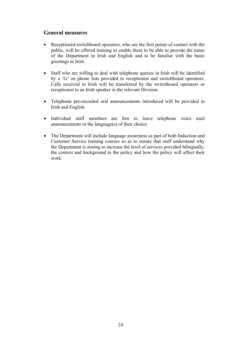### <span id="page-22-0"></span>**General measures**

- Receptionist/switchboard operators, who are the first points of contact with the public, will be offered training to enable them to be able to provide the name of the Department in Irish and English and to be familiar with the basic greetings in Irish.
- Staff who are willing to deal with telephone queries in Irish will be identified by a 'G' on phone lists provided to receptionist and switchboard operators. Calls received in Irish will be transferred by the switchboard operators or receptionist to an Irish speaker in the relevant Division.
- Telephone pre-recorded oral announcements introduced will be provided in Irish and English.
- Individual staff members are free to leave telephone voice mail announcements in the language(s) of their choice.
- The Department will include language awareness as part of both Induction and Customer Service training courses so as to ensure that staff understand why the Department is aiming to increase the level of services provided bilingually, the context and background to the policy and how the policy will affect their work.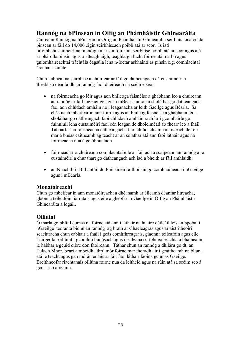### <span id="page-23-0"></span>**Rannóg na bPinsean in Oifig an Phámháistir Ghinearálta**

Cuireann Ránnóg na bPinsean in Oifig an Phámháistir Ghinearálta seirbhís íocaíochta pinsean ar fáil do 14,000 éigin seirbhíseach poiblí atá ar scor. Is iad príomhchustaiméirí na rannóige mar sin foireann seirbhíse poiblí atá ar scor agus atá ar phárolla pinsin agus a dteaghlaigh, teaghlaigh lucht foirne atá marbh agus gníomhaireachtaí tráchtála éagsúla lena n-íoctar asbhaintí as pinsin e.g. comhlachtaí árachais sláinte.

Chun leibhéal na seirbhíse a chuirtear ar fáil go dátheangach dá custaiméirí a fheabhsú déanfaidh an rannóg faoi dheireadh na scéime seo:

- na foirmeacha go léir agus aon bhileoga faisnéise a ghabhann leo a chuireann an rannóg ar fáil i nGaeilge agus i mBéarla araon a sholáthar go dátheangach faoi aon chlúdach amháin nó i leaganacha ar leith Gaeilge agus Béarla. Sa chás nach mbeifear in ann foirm agus an bhileog faisnéise a ghabhann léi a sholáthar go dátheangach faoi chlúdach amháin rachfar i gcomhairle go fuinniúil lena custaiméirí faoi cén leagan de dhoiciméad ab fhearr leo a fháil. Tabharfar na foirmeacha dátheangacha faoi chlúdach amháin isteach de réir mar a bheas caitheamh ag teacht ar an soláthar atá ann faoi láthair agus na foirmeacha nua á gclóbhualadh.
- foirmeacha a chuireann comhlachtaí eile ar fáil ach a scaipeann an rannóg ar a custaiméirí a chur thart go dátheangach ach iad a bheith ar fáil amhlaidh;
- an Nuachtlitir Bhliantúil do Phinsinéirí a fhoilsiú go comhuaineach i nGaeilge agus i mBéarla.

### **Monatóireacht**

Chun go mbeifear in ann monatóireacht a dhéanamh ar éileamh déanfar litreacha, glaonna teileafóin, iarratais agus eile a gheofar i nGaeilge in Oifig an Phámháistir Ghinearálta a logáil.

### **Oiliúint**

Ó tharla go bhfuil cumas na foirne atá ann i láthair na huaire déileáil leis an bpobal i nGaeilge teoranta bíonn an rannóg ag brath ar Ghaeleagras agus ar aistritheoirí seachtracha chun cabhair a fháil i gcás comhfhreagrais, glaonna teileafóin agus eile. Tairgeofar oiliúint i gcomhrá bunúsach agus i scileana scríbhneoireachta a bhaineann le hábhar a gcuid oibre don fhoireann. Táthar chun an rannóg a dhílárú go dtí an Tulach Mhór, beart a mbeidh athrú mór foirne mar thoradh air i gcaitheamh na bliana atá le teacht agus gan mórán eolais ar fáil faoi láthair faoina gcumas Gaeilge. Breithneofar riachtanais oiliúna foirne nua dá leithéid agus na rúin atá sa scéim seo á gcur san áireamh.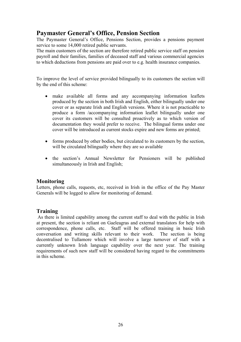### <span id="page-24-0"></span>**Paymaster General's Office, Pension Section**

The Paymaster General's Office, Pensions Section, provides a pensions payment service to some 14,000 retired public servants.

The main customers of the section are therefore retired public service staff on pension payroll and their families, families of deceased staff and various commercial agencies to which deductions from pensions are paid over to e.g. health insurance companies.

To improve the level of service provided bilingually to its customers the section will by the end of this scheme:

- make available all forms and any accompanying information leaflets produced by the section in both Irish and English, either bilingually under one cover or as separate Irish and English versions. Where it is not practicable to produce a form /accompanying information leaflet bilingually under one cover its customers will be consulted proactively as to which version of documentation they would prefer to receive. The bilingual forms under one cover will be introduced as current stocks expire and new forms are printed;
- forms produced by other bodies, but circulated to its customers by the section, will be circulated bilingually where they are so available
- the section's Annual Newsletter for Pensioners will be published simultaneously in Irish and English;

### **Monitoring**

Letters, phone calls, requests, etc, received in Irish in the office of the Pay Master Generals will be logged to allow for monitoring of demand.

### **Training**

 As there is limited capability among the current staff to deal with the public in Irish at present, the section is reliant on Gaeleagras and external translators for help with correspondence, phone calls, etc. Staff will be offered training in basic Irish conversation and writing skills relevant to their work. The section is being decentralised to Tullamore which will involve a large turnover of staff with a currently unknown Irish language capability over the next year. The training requirements of such new staff will be considered having regard to the commitments in this scheme.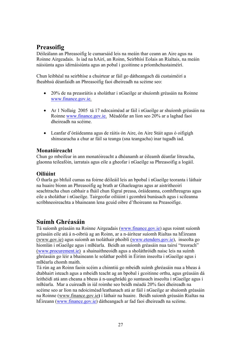### <span id="page-25-0"></span>**Preasoifig**

Déileálann an Phreasoifig le cumarsáid leis na meáin thar ceann an Aire agus na Roinne Airgeadais. Is iad na hAirí, an Roinn, Seirbhísí Eolais an Rialtais, na meáin náisiúnta agus idirnáisiúnta agus an pobal i gcoitinne a príomhchustaiméirí.

Chun leibhéal na seirbhíse a chuirtear ar fáil go dátheangach dá custaiméirí a fheabhsú déanfaidh an Phreasoifig faoi dheireadh na scéime seo:

- 20% de na preasráitis a sholáthar i nGaeilge ar shuíomh gréasáin na Roinne www.finance.gov.ie.
- Ar 1 Nollaig 2005 tá 17 ndocaiméad ar fáil i nGaeilge ar shuíomh gréasáin na Roinne www.finance.gov.ie. Méadófar an líon seo 20% ar a laghad faoi dheireadh na scéime.
- Leanfar d'óráideanna agus de ráitis ón Aire, ón Aire Stáit agus ó oifigigh shinsearacha a chur ar fáil sa teanga (sna teangacha) inar tugadh iad.

### **Monatóireacht**

Chun go mbeifear in ann monatóireacht a dhéanamh ar éileamh déanfar litreacha, glaonna teileafóin, iarratais agus eile a gheofar i nGaeilge sa Phreasoifig a logáil.

### **Oiliúint**

Ó tharla go bhfuil cumas na foirne déileáil leis an bpobal i nGaeilge teoranta i láthair na huaire bíonn an Phreasoifig ag brath ar Ghaeleagras agus ar aistritheoirí seachtracha chun cabhair a fháil chun fógraí preasa, óráideanna, comhfhreagras agus eile a sholáthar i nGaeilge. Tairgeofar oiliúint i gcomhrá bunúsach agus i scileanna scríbhneoireachta a bhaineann lena gcuid oibre d'fhoireann na Preasoifige.

### **Suímh Ghréasáin**

Tá suíomh gréasáin na Roinne Airgeadais (www.finance.gov.ie) agus roinnt suíomh gréasáin eile atá á n-oibriú ag an Roinn, ar a n-áirítear suíomh Rialtas na hÉireann (www.gov.ie) agus suíomh an tsoláthair phoiblí (www.etenders.gov.ie), inseolta go hiomlán i nGaeilge agus i mBéarla. Beidh an suíomh gréasáin nua tairsí "treorach" (www.procurement.ie) a shainaithneoidh agus a sholáthróidh naisc leis na suímh ghréasáin go léir a bhaineann le soláthar poiblí in Éirinn inseolta i nGaeilge agus i mBéarla chomh maith.

Tá rún ag an Roinn faoin scéim a chinntiú go mbeidh suímh ghréasáin nua a bheas á dtabhairt isteach agus a mbeidh teacht ag an bpobal i gcoitinne orthu, agus gréasáin dá leithéidí atá ann cheana a bheas á n-uasghrádú go suntasach inseolta i nGaeilge agus i mBéarla. Mar a cuireadh in iúl roimhe seo beidh méadú 20% faoi dheireadh na scéime seo ar líon na ndoiciméad/leathanach atá ar fáil i nGaeilge ar shuíomh gréasáin na Roinne (www.finance.gov.ie**)** i láthair na huaire. Beidh suíomh gréasáin Rialtas na hÉireann (www.finance.gov.ie) dátheangach ar fad faoi dheireadh na scéime.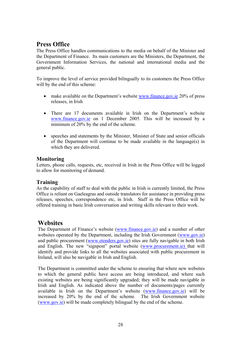### <span id="page-26-0"></span>**Press Office**

The Press Office handles communications to the media on behalf of the Minister and the Department of Finance. Its main customers are the Ministers, the Department, the Government Information Services, the national and international media and the general public.

To improve the level of service provided bilingually to its customers the Press Office will by the end of this scheme:

- make available on the Department's website www.finance.gov.je 20% of press releases, in Irish
- There are 17 documents available in Irish on the Department's website www.finance.gov.ie on 1 December 2005. This will be increased by a minimum of 20% by the end of the scheme.
- speeches and statements by the Minister, Minister of State and senior officials of the Department will continue to be made available in the language(s) in which they are delivered.

### **Monitoring**

Letters, phone calls, requests, etc, received in Irish in the Press Office will be logged to allow for monitoring of demand.

### **Training**

As the capability of staff to deal with the public in Irish is currently limited, the Press Office is reliant on Gaeleagras and outside translators for assistance in providing press releases, speeches, correspondence etc, in Irish. Staff in the Press Office will be offered training in basic Irish conversation and writing skills relevant to their work.

### **Websites**

The Department of Finance's website (www.finance.gov.ie) and a number of other websites operated by the Department, including the Irish Government (www.gov.ie) and public procurement (www.etenders.gov.ie) sites are fully navigable in both Irish and English. The new "signpost" portal website (www.procurement.ie) that will identify and provide links to all the websites associated with public procurement in Ireland, will also be navigable in Irish and English.

The Department is committed under the scheme to ensuring that where new websites to which the general public have access are being introduced, and where such existing websites are being significantly upgraded; they will be made navigable in Irish and English. As indicated above the number of documents/pages currently available in Irish on the Department's website (www.finance.gov.ie) will be increased by 20% by the end of the scheme. The Irish Government website (www.gov.ie) will be made completely bilingual by the end of the scheme.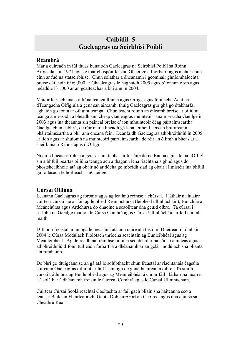### **Caibidil 5 Gaeleagras na Seirbhísí Poiblí**

### <span id="page-27-0"></span>**Réamhrá**

Mar a cuireadh in iúl thuas bunaíodh Gaeleagras na Seirbhísí Poiblí sa Roinn Airgeadais in 1971 agus é mar chuspóir leis an Ghaeilge a fhorbairt agus a chur chun cinn ar fud na státseirbhíse. Chun soláthar a dhéanamh i gcomhair ghníomhaíochta breise dáileadh €369,000 ar Ghaeleagras le haghaidh 2005 agus b'ionann é sin agus méadú €131,000 ar an gcaiteachas a bhí ann in 2004.

Maidir le riachtanais oiliúna teanga Ranna agus Oifigí, agus forálacha Acht na dTeangacha Oifigiúla á gcur san áireamh, thuig Gaeleagras gur ghá go dtabharfaí aghaidh go fónta ar oiliúint teanga. Chun teacht roimh an éileamh breise ar oiliúint teanga a measadh a bheadh ann cheap Gaeleagras múinteoir lánaimseartha Gaeilge in 2003 agus ina theannta sin painéal breise d'aon mhúinteoir déag páirtaimseartha Gaeilge chun cabhrú, de réir mar a bheadh gá lena leithéid, leis an bhfoireann pháirtaimseartha a bhí ann cheana féin. Déanfaidh Gaeleagras athbhreithniú in 2005 ar líon agus ar shuíomh na múinteoirí páirtaimseartha de réir an éilimh a bheas ar a sheirbhísí ó Ranna agus ó Oifigí.

Nuair a bheas seirbhísí á gcur ar fáil tabharfar tús áite do na Ranna agus do na hOifigí sin a bhfuil beartas oiliúna teanga acu a thagann lena riachtanais ghnó agus do phostshealbhóirí atá ag obair nó ar dócha go mbeidh siad ag obair i limistéir ina bhfuil gá follasach le hoilteacht i nGaeilge.

### **Cúrsaí Oiliúna**

Leanann Gaeleagras ag forbairt agus ag leathnú réimse a chúrsaí. I láthair na huaire cuirtear cúrsaí lae ar fáil ag leibhéal Réamhchúrsa (leibhéal ullmhúcháin), Bunchúrsa, Meánchúrsa agus Ardchúrsa do dhaoine a scaoiltear óna gcuid oibre. Tá cúrsaí i scríobh na Gaeilge maraon le Cúrsa Comhrá agus Cúrsaí Ullmhúcháin ar fáil chomh maith.

D'fhonn freastal ar an ngá le measúnú atá ann cuireadh tús i mí Dheireadh Fómhair 2004 le Cúrsa Modúlach Píolótach thríocha seachtain ag Bunleibhéal agus ag Meánleibhéal. Ag deireadh na tréimhse oiliúna seo déanfar na cúrsaí a mheas agus a athbhreithniú d'fonn tuilleadh forbartha a dhéanamh ar an gclár modúlach sna blianta atá romhainn.

De bhrí go dtuigeann sé an gá atá le solúbthacht chun freastal ar riachtanais éagsúla cuireann Gaeleagras oiliúint ar fáil lasmuigh de ghnáthuaireanta oibre. Tá sraith cúrsaí tráthnóna ag Bunleibhéal agus ag Meánleibhéal á cur ar fáil i láthair na huaire. Tá soláthar á dhéanamh freisin le Ciorcal Comhrá agus le Cúrsaí Ullmhúcháin.

Cuirtear Cúrsaí Scoláireachtaí Gaeltachta ar fáil gach bliain sna háiteanna seo a leanas: Baile an Fheirtéaraigh, Gaoth Dobhair/Gort an Choirce, agus dhá chúrsa sa Cheathrú Rua.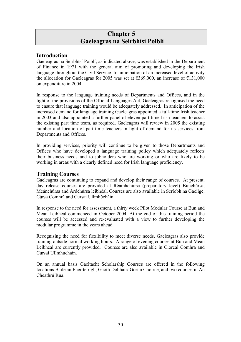### **Chapter 5 Gaeleagras na Seirbhísí Poiblí**

### <span id="page-28-0"></span>**Introduction**

Gaeleagras na Seirbhísí Poiblí, as indicated above, was established in the Department of Finance in 1971 with the general aim of promoting and developing the Irish language throughout the Civil Service. In anticipation of an increased level of activity the allocation for Gaeleagras for 2005 was set at  $\epsilon$ 369,000, an increase of  $\epsilon$ 131,000 on expenditure in 2004.

In response to the language training needs of Departments and Offices, and in the light of the provisions of the Official Languages Act, Gaeleagras recognised the need to ensure that language training would be adequately addressed. In anticipation of the increased demand for language training Gaeleagras appointed a full-time Irish teacher in 2003 and also appointed a further panel of eleven part time Irish teachers to assist the existing part time team, as required. Gaeleagras will review in 2005 the existing number and location of part-time teachers in light of demand for its services from Departments and Offices.

In providing services, priority will continue to be given to those Departments and Offices who have developed a language training policy which adequately reflects their business needs and to jobholders who are working or who are likely to be working in areas with a clearly defined need for Irish language proficiency.

### **Training Courses**

Gaeleagras are continuing to expand and develop their range of courses. At present, day release courses are provided at Réamhchúrsa (preparatory level) Bunchúrsa, Meánchúrsa and Ardchúrsa leibhéal. Courses are also available in Scríobh na Gaeilge, Cúrsa Comhrá and Cursaí Ullmhúcháin.

In response to the need for assessment, a thirty week Pilot Modular Course at Bun and Meán Leibhéal commenced in October 2004. At the end of this training period the courses will be accessed and re-evaluated with a view to further developing the modular programme in the years ahead.

Recognising the need for flexibility to meet diverse needs, Gaeleagras also provide training outside normal working hours. A range of evening courses at Bun and Mean Leibhéal are currently provided. Courses are also available in Ciorcal Comhrá and Cursaí Ullmhucháin.

On an annual basis Gaeltacht Scholarship Courses are offered in the following locations Baile an Fheirteirigh, Gaoth Dobhair/ Gort a Choirce, and two courses in An Cheathrú Rua.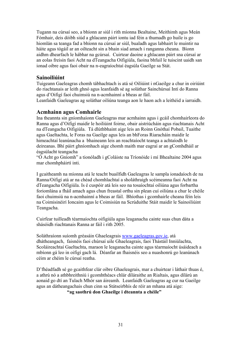<span id="page-29-0"></span>Tugann na cúrsaí seo, a bhíonn ar siúl i rith míonna Bealtaine, Meithimh agus Meán Fómhair, deis dóibh siúd a ghlacann páirt iontu iad féin a thumadh go huile is go hiomlán sa teanga fad a bhíonn na cúrsaí ar siúl, bualadh agus labhairt le muintir na háite agus tógáil ar an oilteacht sin a bhain siad amach i ranganna cheana. Bíonn aidhm dhearfach le hábhar na gcúrsaí. Cuirtear daoine a ghlacann páirt sna cúrsaí ar an eolas freisin faoi Acht na dTeangacha Oifigiúla, faoina bhfuil le tuiscint uaidh san ionad oibre agus faoi obair na n-eagraíochtaí éagsúla Gaeilge sa Stát.

### **Sainoiliúint**

Tuigeann Gaeleagras chomh tábhachtach is atá sé Oiliúint i nGaeilge a chur in oiriúint do riachtanais ar leith ghnó agus leanfaidh sé ag soláthar Sainchúrsaí Intí do Ranna agus d'Oifigí faoi chuimsiú na n-acmhainní a bheas ar fáil.

Leanfaidh Gaeleagras ag soláthar oiliúna teanga aon le haon ach a leithéid a iarraidh.

### **Acmhainn agus Comhairle**

Ina theannta sin gníomhaíonn Gaeleagras mar acmhainn agus i gcáil chomhairleora do Ranna agus d'Oifigí maidir le hoiliúint foirne, obair aistriúcháin agus riachtanais Acht na dTeangacha Oifigiúla. Tá dlúthbhaint aige leis an Roinn Gnóthaí Pobail, Tuaithe agus Gaeltachta, le Foras na Gaeilge agus leis an bhForas Riaracháin maidir le himeachtaí leanúnacha a bhaineann leis an reachtaíocht teanga a achtaíodh le deireanas. Bhí páirt ghníomhach aige chomh maith mar eagraí ar an gComhdháil ar éagsúlacht teangacha

"Ó Acht go Gníomh" a tionóladh i gColáiste na Tríonóide i mí Bhealtaine 2004 agus mar chomhpháirtí inti.

I gcaitheamh na míonna atá le teacht buailfidh Gaeleagras le sampla ionadaíoch de na Ranna/Oifigí atá ar na chéad chomhlachtaí a sholáthraigh scéimeanna faoi Acht na dTeangacha Oifigiúla. Is é cuspóir atá leis seo na tosaíochtaí oiliúna agus forbartha foriomlána a fháil amach agus chun freastal orthu sin plean cuí oiliúna a chur le chéile faoi chuimsiú na n-acmhainní a bheas ar fáil. Bhíothas i gcomhairle cheana féin leis na Coimisinéirí Ioncaim agus le Coimisiún na Scrúduithe Stáit maidir le Sainoiliúint Teangacha.

Cuirfear tuilleadh téarmaíochta oifigiúla agus leaganacha cainte suas chun dáta a shásóidh riachtanais Ranna ar fáil i rith 2005.

Soláthraíonn suíomh gréasáin Ghaeleagrais www.gaeleagras.gov.ie, atá dhátheangach, faisnéis faoi chúrsaí uile Ghaeleagrais, faoi Thástáil Inniúlachta, Scoláireachtaí Gaeltachta, maraon le leaganacha cainte agus téarmaíocht úsáideach a mbíonn gá leo in oifigí gach lá. Déanfar an fhaisnéis seo a nuashonrú go leanúnach céim ar chéim le cúrsaí reatha.

D'fhéadfadh sé go gcaithfear clár oibre Ghaeleagrais, mar a chuirtear i láthair thuas é, a athrú nó a athbhreithniú i gcomhthéacs chlár díláraithe an Rialtais, agus dílárú an aonaid go dtí an Tulach Mhór san áireamh. Leanfaidh Gaeleagras ag cur na Gaeilge agus an dátheangachais chun cinn sa Státseirbhís de réir an mhana atá aige:

 **"ag saothrú don Ghaeilge i dteannta a chéile"**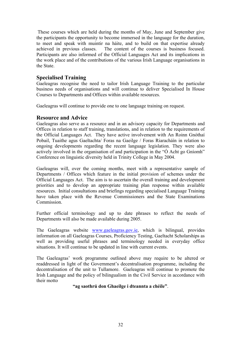<span id="page-30-0"></span> These courses which are held during the months of May, June and September give the participants the opportunity to become immersed in the language for the duration, to meet and speak with muintir na háite, and to build on that expertise already achieved in previous classes. The content of the courses is business focused. Participants are also informed of the Official Languages Act and its implications in the work place and of the contributions of the various Irish Language organisations in the State.

### **Specialised Training**

Gaeleagras recognise the need to tailor Irish Language Training to the particular business needs of organisations and will continue to deliver Specialised In House Courses to Departments and Offices within available resources.

Gaeleagras will continue to provide one to one language training on request.

### **Resource and Advice**

Gaeleagras also serve as a resource and in an advisory capacity for Departments and Offices in relation to staff training, translations, and in relation to the requirements of the Official Languages Act. They have active involvement with An Roinn Gnóthaí Pobail, Tuaithe agus Gaeltachta/ Foras na Gaeilge / Foras Riaracháín in relation to ongoing developments regarding the recent language legislation. They were also actively involved in the organisation of and participation in the "Ó Acht go Gníomh" Conference on linguistic diversity held in Trinity College in May 2004.

Gaeleagras will, over the coming months, meet with a representative sample of Departments / Offices which feature in the initial provision of schemes under the Official Languages Act. The aim is to ascertain the overall training and development priorities and to develop an appropriate training plan response within available resources. Initial consultations and briefings regarding specialised Language Training have taken place with the Revenue Commissioners and the State Examinations **Commission** 

Further official terminology and up to date phrases to reflect the needs of Departments will also be made available during 2005.

The Gaeleagras website www.gaeleagras.gov.ie, which is bilingual, provides information on all Gaeleagras Courses, Proficiency Testing, Gaeltacht Scholarships as well as providing useful phrases and terminology needed in everyday office situations. It will continue to be updated in line with current events.

The Gaeleagras' work programme outlined above may require to be altered or readdressed in light of the Government's decentralisation programme, including the decentralisation of the unit to Tullamore. Gaeleagras will continue to promote the Irish Language and the policy of bilingualism in the Civil Service in accordance with their motto

#### **"ag saothrú don Ghaeilge i dteannta a chéíle"**.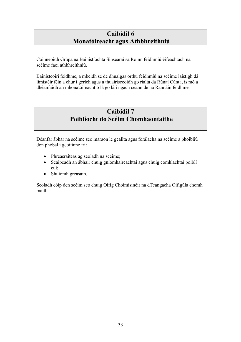### **Caibidil 6 Monatóireacht agus Athbhreithniú**

<span id="page-31-0"></span>Coinneoidh Grúpa na Bainistíochta Sinsearaí sa Roinn feidhmiú éifeachtach na scéime faoi athbhreithniú.

Bainisteoirí feidhme, a mbeidh sé de dhualgas orthu feidhmiú na scéime laistigh dá limistéir féin a chur i gcrích agus a thuairisceoidh go rialta dá Rúnaí Cúnta, is mó a dhéanfaidh an mhonatóireacht ó lá go lá i ngach ceann de na Rannáin feidhme.

### **Caibidil 7 Poiblíocht do Scéim Chomhaontaithe**

Déanfar ábhar na scéime seo maraon le geallta agus forálacha na scéime a phoibliú don phobal i gcoitinne trí:

- Phreasráiteas ag seoladh na scéime;
- Scaipeadh an ábhair chuig gníomhaireachtaí agus chuig comhlachtaí poiblí cuí;
- Shuíomh gréasáin.

Seoladh cóip den scéim seo chuig Oifig Choimisinéir na dTeangacha Oifigúla chomh maith.